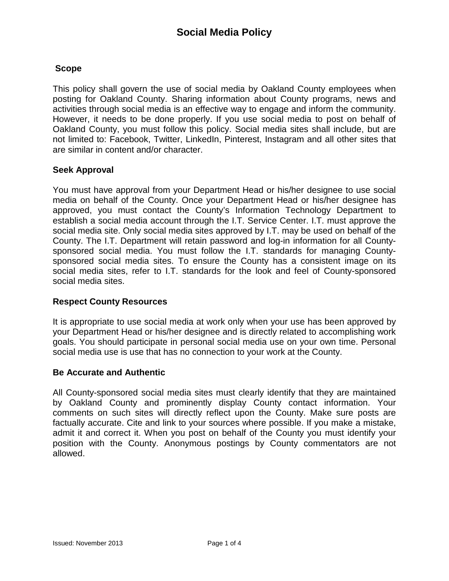# **Scope**

This policy shall govern the use of social media by Oakland County employees when posting for Oakland County. Sharing information about County programs, news and activities through social media is an effective way to engage and inform the community. However, it needs to be done properly. If you use social media to post on behalf of Oakland County, you must follow this policy. Social media sites shall include, but are not limited to: Facebook, Twitter, LinkedIn, Pinterest, Instagram and all other sites that are similar in content and/or character.

## **Seek Approval**

You must have approval from your Department Head or his/her designee to use social media on behalf of the County. Once your Department Head or his/her designee has approved, you must contact the County's Information Technology Department to establish a social media account through the I.T. Service Center. I.T. must approve the social media site. Only social media sites approved by I.T. may be used on behalf of the County. The I.T. Department will retain password and log-in information for all Countysponsored social media. You must follow the I.T. standards for managing Countysponsored social media sites. To ensure the County has a consistent image on its social media sites, refer to I.T. standards for the look and feel of County-sponsored social media sites.

### **Respect County Resources**

It is appropriate to use social media at work only when your use has been approved by your Department Head or his/her designee and is directly related to accomplishing work goals. You should participate in personal social media use on your own time. Personal social media use is use that has no connection to your work at the County.

### **Be Accurate and Authentic**

All County-sponsored social media sites must clearly identify that they are maintained by Oakland County and prominently display County contact information. Your comments on such sites will directly reflect upon the County. Make sure posts are factually accurate. Cite and link to your sources where possible. If you make a mistake, admit it and correct it. When you post on behalf of the County you must identify your position with the County. Anonymous postings by County commentators are not allowed.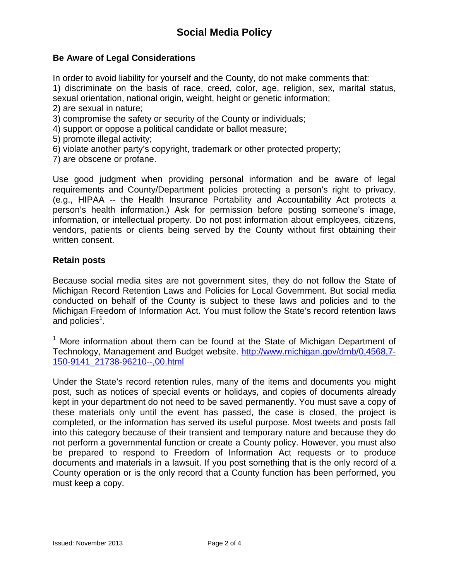# **Be Aware of Legal Considerations**

In order to avoid liability for yourself and the County, do not make comments that:

1) discriminate on the basis of race, creed, color, age, religion, sex, marital status, sexual orientation, national origin, weight, height or genetic information;

- 2) are sexual in nature;
- 3) compromise the safety or security of the County or individuals;
- 4) support or oppose a political candidate or ballot measure;
- 5) promote illegal activity;
- 6) violate another party's copyright, trademark or other protected property;
- 7) are obscene or profane.

Use good judgment when providing personal information and be aware of legal requirements and County/Department policies protecting a person's right to privacy. (e.g., HIPAA -- the Health Insurance Portability and Accountability Act protects a person's health information.) Ask for permission before posting someone's image, information, or intellectual property. Do not post information about employees, citizens, vendors, patients or clients being served by the County without first obtaining their written consent.

#### **Retain posts**

Because social media sites are not government sites, they do not follow the State of Michigan Record Retention Laws and Policies for Local Government. But social media conducted on behalf of the County is subject to these laws and policies and to the Michigan Freedom of Information Act. You must follow the State's record retention laws and policies<sup>1</sup>.

<sup>1</sup> More information about them can be found at the State of Michigan Department of Technology, Management and Budget website. [http://www.michigan.gov/dmb/0,4568,7-](http://www.michigan.gov/dmb/0,4568,7-150-9141_21738-96210--,00.html) [150-9141\\_21738-96210--,00.html](http://www.michigan.gov/dmb/0,4568,7-150-9141_21738-96210--,00.html)

Under the State's record retention rules, many of the items and documents you might post, such as notices of special events or holidays, and copies of documents already kept in your department do not need to be saved permanently. You must save a copy of these materials only until the event has passed, the case is closed, the project is completed, or the information has served its useful purpose. Most tweets and posts fall into this category because of their transient and temporary nature and because they do not perform a governmental function or create a County policy. However, you must also be prepared to respond to Freedom of Information Act requests or to produce documents and materials in a lawsuit. If you post something that is the only record of a County operation or is the only record that a County function has been performed, you must keep a copy.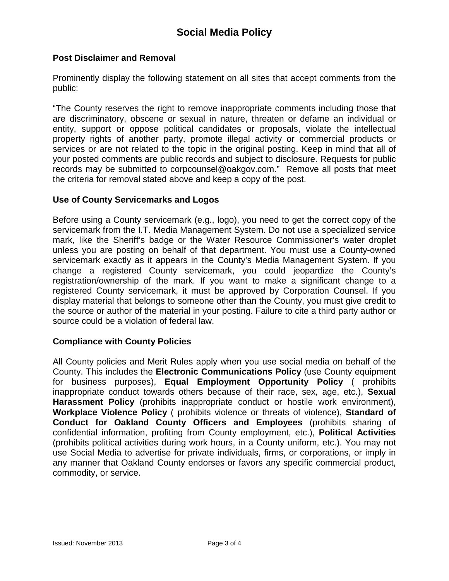## **Post Disclaimer and Removal**

Prominently display the following statement on all sites that accept comments from the public:

"The County reserves the right to remove inappropriate comments including those that are discriminatory, obscene or sexual in nature, threaten or defame an individual or entity, support or oppose political candidates or proposals, violate the intellectual property rights of another party, promote illegal activity or commercial products or services or are not related to the topic in the original posting. Keep in mind that all of your posted comments are public records and subject to disclosure. Requests for public records may be submitted to corpcounsel@oakgov.com." Remove all posts that meet the criteria for removal stated above and keep a copy of the post.

### **Use of County Servicemarks and Logos**

Before using a County servicemark (e.g., logo), you need to get the correct copy of the servicemark from the I.T. Media Management System. Do not use a specialized service mark, like the Sheriff's badge or the Water Resource Commissioner's water droplet unless you are posting on behalf of that department. You must use a County-owned servicemark exactly as it appears in the County's Media Management System. If you change a registered County servicemark, you could jeopardize the County's registration/ownership of the mark. If you want to make a significant change to a registered County servicemark, it must be approved by Corporation Counsel. If you display material that belongs to someone other than the County, you must give credit to the source or author of the material in your posting. Failure to cite a third party author or source could be a violation of federal law.

### **Compliance with County Policies**

All County policies and Merit Rules apply when you use social media on behalf of the County. This includes the **Electronic Communications Policy** (use County equipment for business purposes), **Equal Employment Opportunity Policy** ( prohibits inappropriate conduct towards others because of their race, sex, age, etc.), **Sexual Harassment Policy** (prohibits inappropriate conduct or hostile work environment), **Workplace Violence Policy** ( prohibits violence or threats of violence), **Standard of Conduct for Oakland County Officers and Employees** (prohibits sharing of confidential information, profiting from County employment, etc.), **Political Activities**  (prohibits political activities during work hours, in a County uniform, etc.). You may not use Social Media to advertise for private individuals, firms, or corporations, or imply in any manner that Oakland County endorses or favors any specific commercial product, commodity, or service.